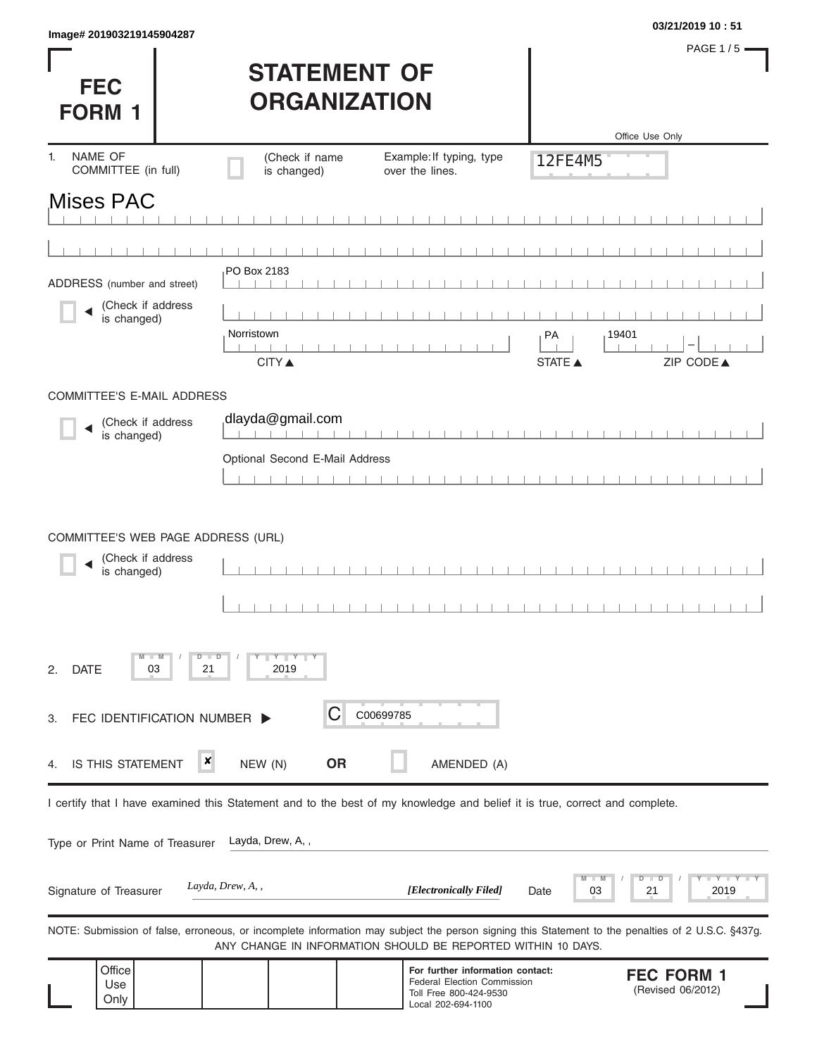|                           | 03/21/2019 10:51 |
|---------------------------|------------------|
| Image# 201903219145904287 |                  |

**FEC** 

PAGE 1/5 $-$ 

## **STATEMENT OF ORGANIZATION**

| <b>FORM 1</b>                                                          | <b>UKGANIZAI IUN</b>        |                                |                                                                                                                            |                                                                                                                                                   |  |
|------------------------------------------------------------------------|-----------------------------|--------------------------------|----------------------------------------------------------------------------------------------------------------------------|---------------------------------------------------------------------------------------------------------------------------------------------------|--|
| NAME OF<br>1.<br>COMMITTEE (in full)                                   |                             | (Check if name<br>is changed)  | Example: If typing, type<br>over the lines.                                                                                | Office Use Only<br>12FE4M5                                                                                                                        |  |
| <b>Mises PAC</b>                                                       |                             |                                |                                                                                                                            |                                                                                                                                                   |  |
|                                                                        |                             |                                |                                                                                                                            |                                                                                                                                                   |  |
| ADDRESS (number and street)                                            |                             | PO Box 2183                    |                                                                                                                            |                                                                                                                                                   |  |
| (Check if address<br>is changed)                                       | Norristown                  | <b>CITY</b> ▲                  |                                                                                                                            | 19401<br>PA<br>ZIP CODE▲<br>STATE A                                                                                                               |  |
| COMMITTEE'S E-MAIL ADDRESS                                             |                             |                                |                                                                                                                            |                                                                                                                                                   |  |
| (Check if address<br>is changed)                                       |                             | dlayda@gmail.com               |                                                                                                                            |                                                                                                                                                   |  |
|                                                                        |                             | Optional Second E-Mail Address |                                                                                                                            |                                                                                                                                                   |  |
|                                                                        |                             |                                |                                                                                                                            |                                                                                                                                                   |  |
| COMMITTEE'S WEB PAGE ADDRESS (URL)<br>(Check if address<br>is changed) |                             |                                |                                                                                                                            |                                                                                                                                                   |  |
| $M - M$<br>03<br><b>DATE</b><br>2.                                     | $D$ $\Box$ $D$<br>21        | $Y$ $Y$ $Y$<br>2019            |                                                                                                                            |                                                                                                                                                   |  |
| З.                                                                     | FEC IDENTIFICATION NUMBER > | С                              | C00699785                                                                                                                  |                                                                                                                                                   |  |
| IS THIS STATEMENT<br>4.                                                | ×                           | <b>OR</b><br>NEW (N)           | AMENDED (A)                                                                                                                |                                                                                                                                                   |  |
|                                                                        |                             |                                | I certify that I have examined this Statement and to the best of my knowledge and belief it is true, correct and complete. |                                                                                                                                                   |  |
| Type or Print Name of Treasurer                                        |                             | Layda, Drew, A,,               |                                                                                                                            |                                                                                                                                                   |  |
| Signature of Treasurer                                                 | Layda, Drew, A,,            |                                | [Electronically Filed]                                                                                                     | D<br>03<br>21<br>2019<br>Date                                                                                                                     |  |
|                                                                        |                             |                                | ANY CHANGE IN INFORMATION SHOULD BE REPORTED WITHIN 10 DAYS.                                                               | NOTE: Submission of false, erroneous, or incomplete information may subject the person signing this Statement to the penalties of 2 U.S.C. §437g. |  |
| Office<br>Use<br>Only                                                  |                             |                                | For further information contact:<br>Federal Election Commission<br>Toll Free 800-424-9530<br>Local 202-694-1100            | <b>FEC FORM 1</b><br>(Revised 06/2012)                                                                                                            |  |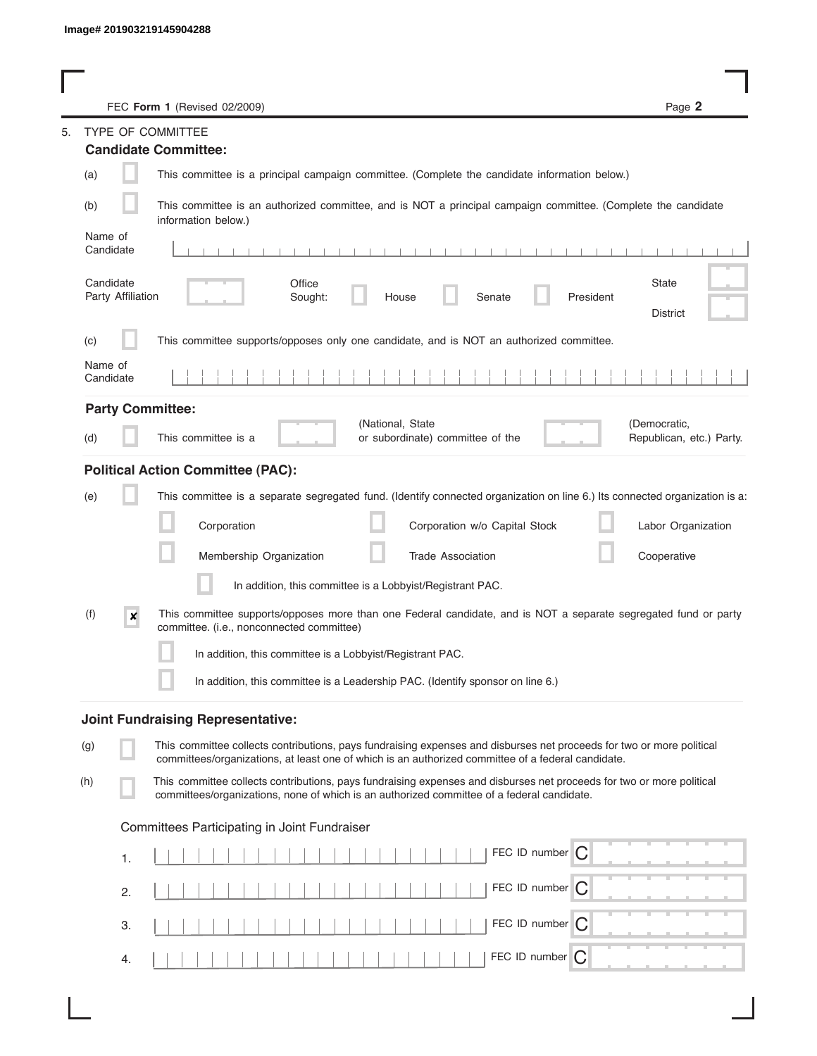| FEC Form 1 (Revised 02/2009)                                                                                                                                                                                                       | Page 2                                   |
|------------------------------------------------------------------------------------------------------------------------------------------------------------------------------------------------------------------------------------|------------------------------------------|
| TYPE OF COMMITTEE                                                                                                                                                                                                                  |                                          |
| <b>Candidate Committee:</b>                                                                                                                                                                                                        |                                          |
| (a)<br>This committee is a principal campaign committee. (Complete the candidate information below.)                                                                                                                               |                                          |
| This committee is an authorized committee, and is NOT a principal campaign committee. (Complete the candidate<br>(b)<br>information below.)                                                                                        |                                          |
| Name of<br>Candidate                                                                                                                                                                                                               |                                          |
| Candidate<br>Office<br>Party Affiliation<br>Senate<br>President<br>Sought:<br>House                                                                                                                                                | State<br><b>District</b>                 |
| This committee supports/opposes only one candidate, and is NOT an authorized committee.<br>(c)                                                                                                                                     |                                          |
| Name of<br>Candidate                                                                                                                                                                                                               |                                          |
| <b>Party Committee:</b>                                                                                                                                                                                                            |                                          |
| (National, State<br>This committee is a<br>or subordinate) committee of the<br>(d)                                                                                                                                                 | (Democratic,<br>Republican, etc.) Party. |
| <b>Political Action Committee (PAC):</b>                                                                                                                                                                                           |                                          |
| This committee is a separate segregated fund. (Identify connected organization on line 6.) Its connected organization is a:<br>(e)                                                                                                 |                                          |
| Corporation<br>Corporation w/o Capital Stock                                                                                                                                                                                       | Labor Organization                       |
| Membership Organization<br><b>Trade Association</b>                                                                                                                                                                                | Cooperative                              |
| In addition, this committee is a Lobbyist/Registrant PAC.                                                                                                                                                                          |                                          |
| (f)<br>This committee supports/opposes more than one Federal candidate, and is NOT a separate segregated fund or party<br>$\boldsymbol{x}$<br>committee. (i.e., nonconnected committee)                                            |                                          |
| In addition, this committee is a Lobbyist/Registrant PAC.                                                                                                                                                                          |                                          |
| In addition, this committee is a Leadership PAC. (Identify sponsor on line 6.)                                                                                                                                                     |                                          |
| <b>Joint Fundraising Representative:</b>                                                                                                                                                                                           |                                          |
| This committee collects contributions, pays fundraising expenses and disburses net proceeds for two or more political<br>(g)<br>committees/organizations, at least one of which is an authorized committee of a federal candidate. |                                          |
| This committee collects contributions, pays fundraising expenses and disburses net proceeds for two or more political<br>(h)<br>committees/organizations, none of which is an authorized committee of a federal candidate.         |                                          |
| Committees Participating in Joint Fundraiser                                                                                                                                                                                       |                                          |
| FEC ID number C<br>1.                                                                                                                                                                                                              |                                          |
| FEC ID number $\bigcap$<br>2.                                                                                                                                                                                                      |                                          |
| FEC ID number $\bigcap$<br>3.                                                                                                                                                                                                      |                                          |
| FEC ID number<br>C<br>4.                                                                                                                                                                                                           |                                          |

I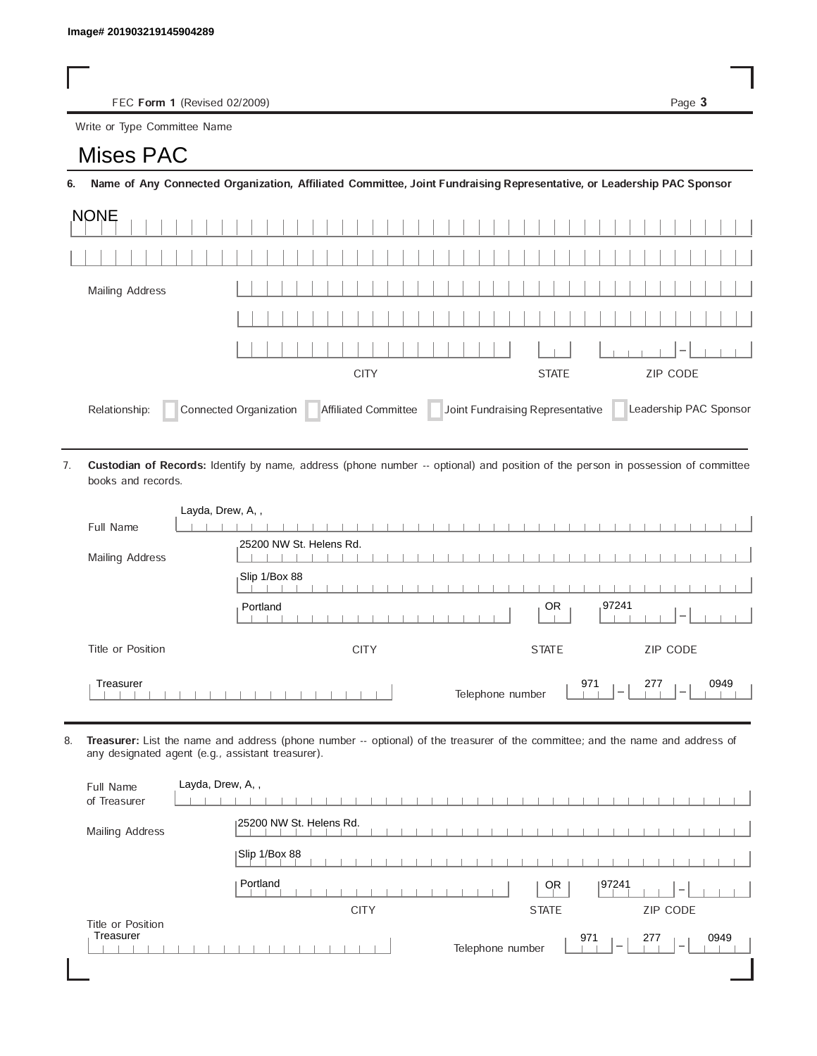FEC Form 1 (Revised 02/2009) Page 3

Write or Type Committee Name

## Image# 201903219145904289<br>
FEC Form 1 (Revise<br>
Write or Type Committee Na<br> **MISES PAC**

6. Name of Any Connected Organization, Affiliated Committee, Joint Fundraising Representative, or Leadership PAC Sponsor

| <b>NONE</b>                                                                                                                   |              |          |  |      |  |
|-------------------------------------------------------------------------------------------------------------------------------|--------------|----------|--|------|--|
|                                                                                                                               |              |          |  |      |  |
| Mailing Address                                                                                                               |              |          |  |      |  |
|                                                                                                                               |              |          |  |      |  |
|                                                                                                                               |              |          |  | $-1$ |  |
|                                                                                                                               | <b>STATE</b> | ZIP CODE |  |      |  |
| Joint Fundraising Representative<br>Connected Organization<br>Affiliated Committee<br>Leadership PAC Sponsor<br>Relationship: |              |          |  |      |  |

Custodian of Records: Identify by name, address (phone number -- optional) and position of the person in possession of committee books and records. 7.

| Layda, Drew, A,,  |                                                                                                |
|-------------------|------------------------------------------------------------------------------------------------|
| Full Name         |                                                                                                |
| Mailing Address   | 25200 NW St. Helens Rd.                                                                        |
|                   | Slip 1/Box 88                                                                                  |
|                   | ,97241<br>OR.<br>Portland                                                                      |
| Title or Position | ZIP CODE<br><b>CITY</b><br><b>STATE</b>                                                        |
| Treasurer         | 971<br>277<br>0949<br>Telephone number<br>$\overline{\phantom{a}}$<br>$\overline{\phantom{a}}$ |

8. Treasurer: List the name and address (phone number -- optional) of the treasurer of the committee; and the name and address of any designated agent (e.g., assistant treasurer).

| Full Name<br>of Treasurer      | Layda, Drew, A,,                                                                                      |
|--------------------------------|-------------------------------------------------------------------------------------------------------|
| Mailing Address                | 125200 NW St. Helens Rd.                                                                              |
|                                | Slip 1/Box 88                                                                                         |
|                                | Portland<br>197241<br>0R<br>$\overline{\phantom{a}}$                                                  |
|                                | <b>CITY</b><br>ZIP CODE<br><b>STATE</b>                                                               |
| Title or Position<br>Treasurer | 971<br>277<br>0949<br>Telephone number<br>$\hspace{0.1mm}-\hspace{0.1mm}$<br>$\overline{\phantom{a}}$ |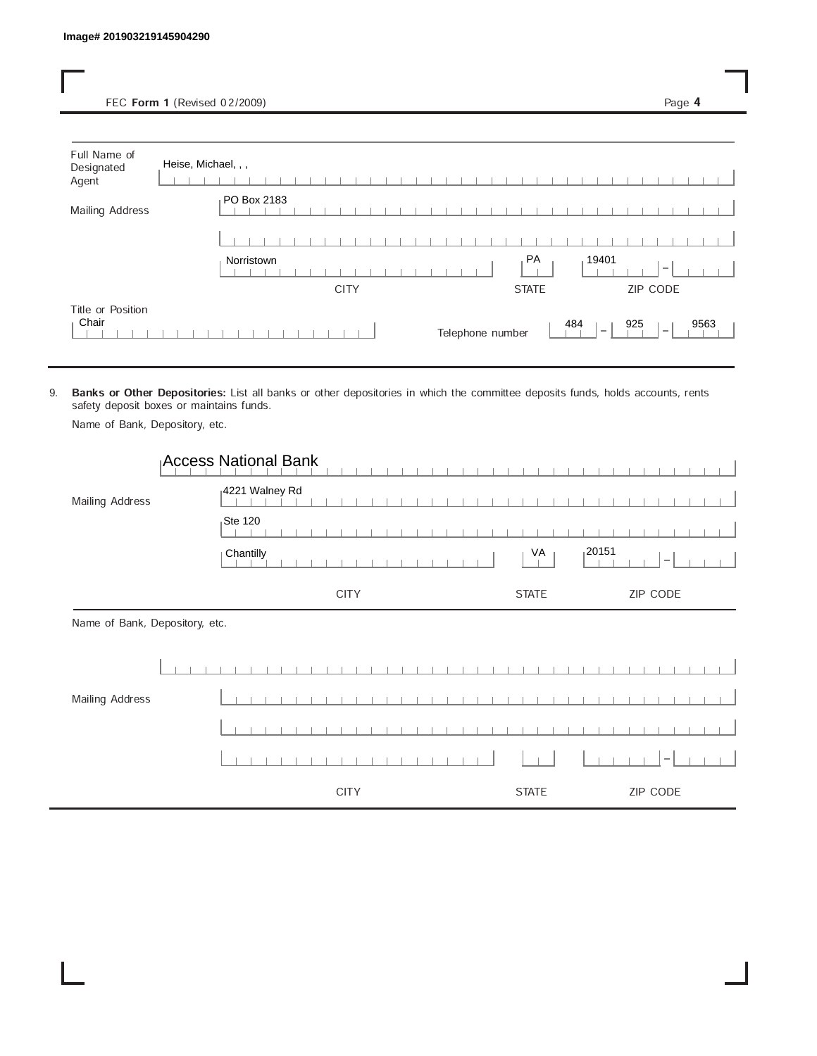FEC Form 1 (Revised 02/2009) Page 4

| Full Name of<br>Designated<br>Agent | Heise, Michael, , , |              |                          |
|-------------------------------------|---------------------|--------------|--------------------------|
| Mailing Address                     | PO Box 2183         |              |                          |
|                                     |                     |              |                          |
|                                     | Norristown          | PA<br>19401  | $\overline{\phantom{a}}$ |
|                                     |                     |              |                          |
|                                     | <b>CITY</b>         | <b>STATE</b> | ZIP CODE                 |

9. Banks or Other Depositories: List all banks or other depositories in which the committee deposits funds, holds accounts, rents safety deposit boxes or maintains funds.

Name of Bank, Depository, etc.

|                                | Access National Bank |              |                                    |
|--------------------------------|----------------------|--------------|------------------------------------|
| Mailing Address                | 4221 Walney Rd       |              |                                    |
|                                | $Ste$ 120            |              |                                    |
|                                | Chantilly            | VA           | 120151<br>$\overline{\phantom{a}}$ |
|                                | <b>CITY</b>          | <b>STATE</b> | ZIP CODE                           |
| Name of Bank, Depository, etc. |                      |              |                                    |
|                                |                      |              |                                    |
| Mailing Address                |                      |              |                                    |
|                                |                      |              |                                    |
|                                |                      |              |                                    |
|                                | <b>CITY</b>          | <b>STATE</b> | ZIP CODE                           |